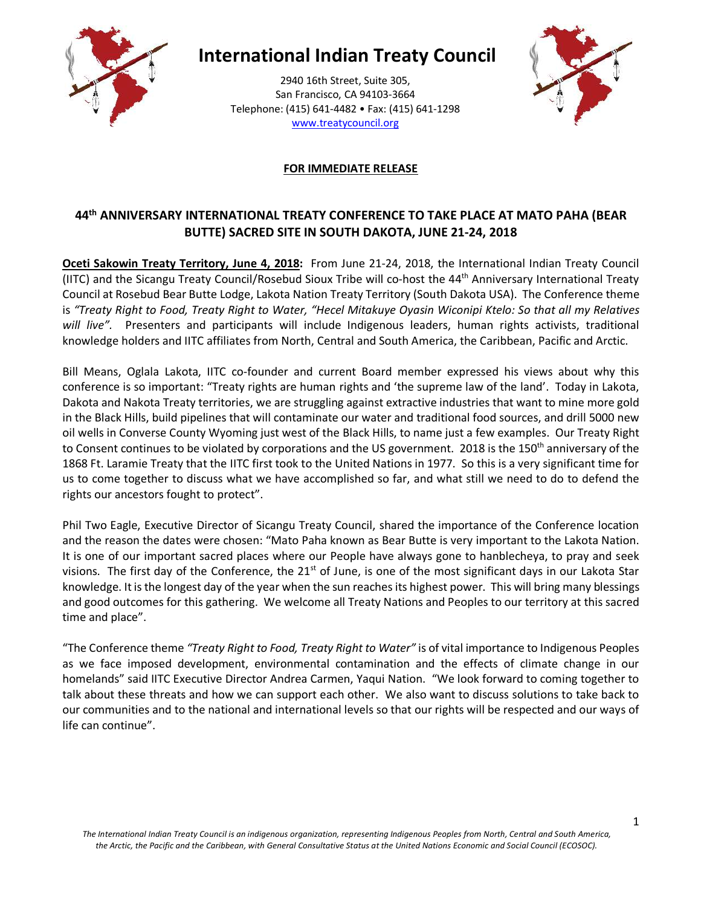

# **International Indian Treaty Council**

2940 16th Street, Suite 305, San Francisco, CA 94103-3664 Telephone: (415) 641-4482 • Fax: (415) 641-1298 www.treatycouncil.org



## **FOR IMMEDIATE RELEASE**

# **44th ANNIVERSARY INTERNATIONAL TREATY CONFERENCE TO TAKE PLACE AT MATO PAHA (BEAR BUTTE) SACRED SITE IN SOUTH DAKOTA, JUNE 21-24, 2018**

**Oceti Sakowin Treaty Territory, June 4, 2018:** From June 21-24, 2018, the International Indian Treaty Council (IITC) and the Sicangu Treaty Council/Rosebud Sioux Tribe will co-host the 44th Anniversary International Treaty Council at Rosebud Bear Butte Lodge, Lakota Nation Treaty Territory (South Dakota USA). The Conference theme is *"Treaty Right to Food, Treaty Right to Water, "Hecel Mitakuye Oyasin Wiconipi Ktelo: So that all my Relatives will live".* Presenters and participants will include Indigenous leaders, human rights activists, traditional knowledge holders and IITC affiliates from North, Central and South America, the Caribbean, Pacific and Arctic.

Bill Means, Oglala Lakota, IITC co-founder and current Board member expressed his views about why this conference is so important: "Treaty rights are human rights and 'the supreme law of the land'. Today in Lakota, Dakota and Nakota Treaty territories, we are struggling against extractive industries that want to mine more gold in the Black Hills, build pipelines that will contaminate our water and traditional food sources, and drill 5000 new oil wells in Converse County Wyoming just west of the Black Hills, to name just a few examples. Our Treaty Right to Consent continues to be violated by corporations and the US government. 2018 is the 150<sup>th</sup> anniversary of the 1868 Ft. Laramie Treaty that the IITC first took to the United Nations in 1977. So this is a very significant time for us to come together to discuss what we have accomplished so far, and what still we need to do to defend the rights our ancestors fought to protect".

Phil Two Eagle, Executive Director of Sicangu Treaty Council, shared the importance of the Conference location and the reason the dates were chosen: "Mato Paha known as Bear Butte is very important to the Lakota Nation. It is one of our important sacred places where our People have always gone to hanblecheya, to pray and seek visions. The first day of the Conference, the  $21<sup>st</sup>$  of June, is one of the most significant days in our Lakota Star knowledge. It is the longest day of the year when the sun reaches its highest power. This will bring many blessings and good outcomes for this gathering. We welcome all Treaty Nations and Peoples to our territory at this sacred time and place".

"The Conference theme *"Treaty Right to Food, Treaty Right to Water"* is of vital importance to Indigenous Peoples as we face imposed development, environmental contamination and the effects of climate change in our homelands" said IITC Executive Director Andrea Carmen, Yaqui Nation. "We look forward to coming together to talk about these threats and how we can support each other. We also want to discuss solutions to take back to our communities and to the national and international levels so that our rights will be respected and our ways of life can continue".